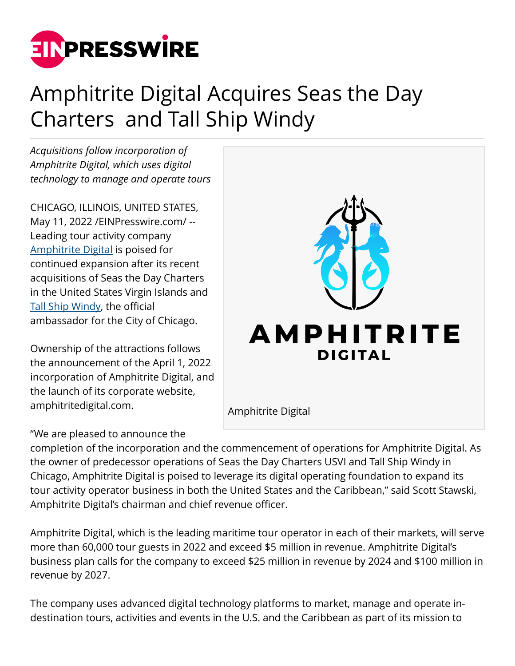

## Amphitrite Digital Acquires Seas the Day Charters and Tall Ship Windy

*Acquisitions follow incorporation of Amphitrite Digital, which uses digital technology to manage and operate tours*

CHICAGO, ILLINOIS, UNITED STATES, May 11, 2022 [/EINPresswire.com](http://www.einpresswire.com)/ -- Leading tour activity company [Amphitrite Digital](http://www.AmphitriteDigital.com) is poised for continued expansion after its recent acquisitions of Seas the Day Charters in the United States Virgin Islands and [Tall Ship Windy,](http://www.TallShipWindy.com) the official ambassador for the City of Chicago.

Ownership of the attractions follows the announcement of the April 1, 2022 incorporation of Amphitrite Digital, and the launch of its corporate website, amphitritedigital.com.

## "We are pleased to announce the



completion of the incorporation and the commencement of operations for Amphitrite Digital. As the owner of predecessor operations of Seas the Day Charters USVI and Tall Ship Windy in Chicago, Amphitrite Digital is poised to leverage its digital operating foundation to expand its tour activity operator business in both the United States and the Caribbean," said Scott Stawski, Amphitrite Digital's chairman and chief revenue officer.

Amphitrite Digital, which is the leading maritime tour operator in each of their markets, will serve more than 60,000 tour guests in 2022 and exceed \$5 million in revenue. Amphitrite Digital's business plan calls for the company to exceed \$25 million in revenue by 2024 and \$100 million in revenue by 2027.

The company uses advanced digital technology platforms to market, manage and operate indestination tours, activities and events in the U.S. and the Caribbean as part of its mission to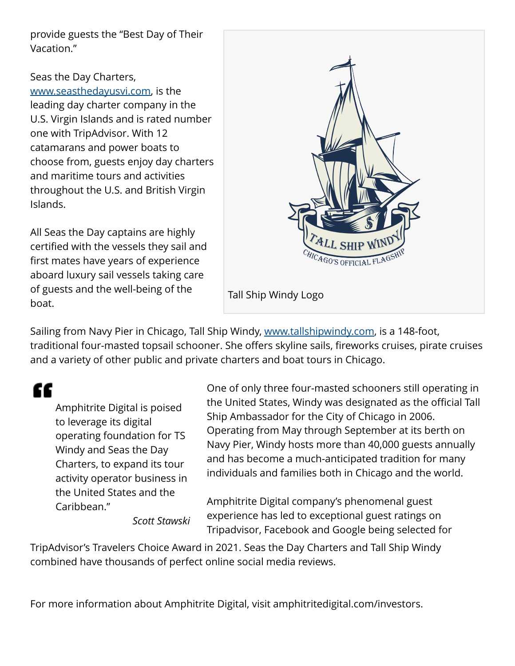provide guests the "Best Day of Their Vacation."

Seas the Day Charters, [www.seasthedayusvi.com](http://www.seasthedayusvi.com), is the leading day charter company in the U.S. Virgin Islands and is rated number one with TripAdvisor. With 12 catamarans and power boats to choose from, guests enjoy day charters and maritime tours and activities throughout the U.S. and British Virgin Islands.

All Seas the Day captains are highly certified with the vessels they sail and first mates have years of experience aboard luxury sail vessels taking care of guests and the well-being of the boat.



Sailing from Navy Pier in Chicago, Tall Ship Windy, [www.tallshipwindy.com](http://www.tallshipwindy.com), is a 148-foot, traditional four-masted topsail schooner. She offers skyline sails, fireworks cruises, pirate cruises and a variety of other public and private charters and boat tours in Chicago.

"

Amphitrite Digital is poised to leverage its digital operating foundation for TS Windy and Seas the Day Charters, to expand its tour activity operator business in the United States and the Caribbean." *Scott Stawski* One of only three four-masted schooners still operating in the United States, Windy was designated as the official Tall Ship Ambassador for the City of Chicago in 2006. Operating from May through September at its berth on Navy Pier, Windy hosts more than 40,000 guests annually and has become a much-anticipated tradition for many individuals and families both in Chicago and the world.

Amphitrite Digital company's phenomenal guest experience has led to exceptional guest ratings on Tripadvisor, Facebook and Google being selected for

TripAdvisor's Travelers Choice Award in 2021. Seas the Day Charters and Tall Ship Windy combined have thousands of perfect online social media reviews.

For more information about Amphitrite Digital, visit amphitritedigital.com/investors.